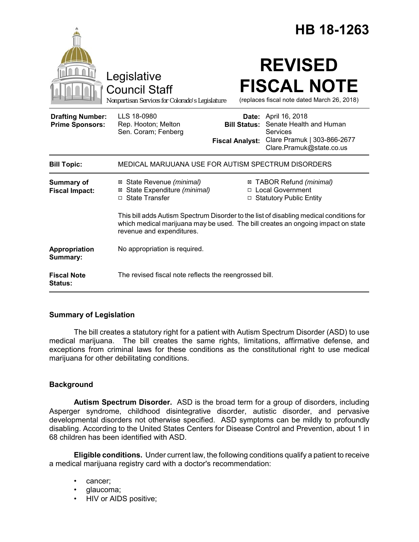|                                                   |                                                                                                                                                                                                          |                                               | HB 18-1263                                                                                                                    |
|---------------------------------------------------|----------------------------------------------------------------------------------------------------------------------------------------------------------------------------------------------------------|-----------------------------------------------|-------------------------------------------------------------------------------------------------------------------------------|
|                                                   | Legislative<br><b>Council Staff</b><br>Nonpartisan Services for Colorado's Legislature                                                                                                                   |                                               | <b>REVISED</b><br><b>FISCAL NOTE</b><br>(replaces fiscal note dated March 26, 2018)                                           |
| <b>Drafting Number:</b><br><b>Prime Sponsors:</b> | LLS 18-0980<br>Rep. Hooton; Melton<br>Sen. Coram; Fenberg                                                                                                                                                | <b>Bill Status:</b><br><b>Fiscal Analyst:</b> | <b>Date:</b> April 16, 2018<br>Senate Health and Human<br>Services<br>Clare Pramuk   303-866-2677<br>Clare.Pramuk@state.co.us |
| <b>Bill Topic:</b>                                | MEDICAL MARIJUANA USE FOR AUTISM SPECTRUM DISORDERS                                                                                                                                                      |                                               |                                                                                                                               |
| Summary of<br><b>Fiscal Impact:</b>               | ⊠ State Revenue (minimal)<br>⊠ State Expenditure (minimal)<br>□ State Transfer                                                                                                                           |                                               | ⊠ TABOR Refund (minimal)<br>□ Local Government<br>$\Box$ Statutory Public Entity                                              |
|                                                   | This bill adds Autism Spectrum Disorder to the list of disabling medical conditions for<br>which medical marijuana may be used. The bill creates an ongoing impact on state<br>revenue and expenditures. |                                               |                                                                                                                               |
| Appropriation<br>Summary:                         | No appropriation is required.                                                                                                                                                                            |                                               |                                                                                                                               |
| <b>Fiscal Note</b><br><b>Status:</b>              | The revised fiscal note reflects the reengrossed bill.                                                                                                                                                   |                                               |                                                                                                                               |

# **Summary of Legislation**

The bill creates a statutory right for a patient with Autism Spectrum Disorder (ASD) to use medical marijuana. The bill creates the same rights, limitations, affirmative defense, and exceptions from criminal laws for these conditions as the constitutional right to use medical marijuana for other debilitating conditions.

## **Background**

**Autism Spectrum Disorder.** ASD is the broad term for a group of disorders, including Asperger syndrome, childhood disintegrative disorder, autistic disorder, and pervasive developmental disorders not otherwise specified. ASD symptoms can be mildly to profoundly disabling. According to the United States Centers for Disease Control and Prevention, about 1 in 68 children has been identified with ASD.

**Eligible conditions.** Under current law, the following conditions qualify a patient to receive a medical marijuana registry card with a doctor's recommendation:

- cancer;
- glaucoma;
- HIV or AIDS positive;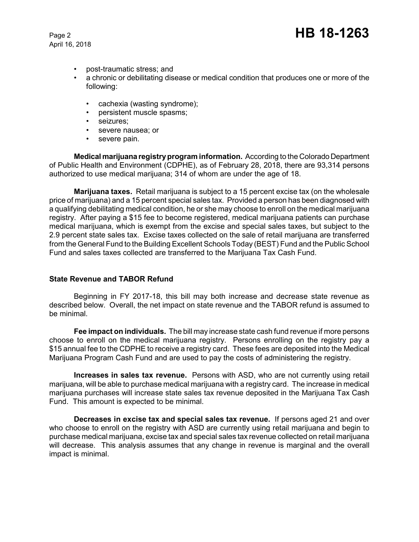April 16, 2018

- post-traumatic stress; and
- a chronic or debilitating disease or medical condition that produces one or more of the following:
	- cachexia (wasting syndrome);
	- persistent muscle spasms;
	- seizures;
	- severe nausea; or
	- severe pain.

**Medical marijuana registry program information.** According to the Colorado Department of Public Health and Environment (CDPHE), as of February 28, 2018, there are 93,314 persons authorized to use medical marijuana; 314 of whom are under the age of 18.

**Marijuana taxes.** Retail marijuana is subject to a 15 percent excise tax (on the wholesale price of marijuana) and a 15 percent special sales tax. Provided a person has been diagnosed with a qualifying debilitating medical condition, he or she may choose to enroll on the medical marijuana registry. After paying a \$15 fee to become registered, medical marijuana patients can purchase medical marijuana, which is exempt from the excise and special sales taxes, but subject to the 2.9 percent state sales tax. Excise taxes collected on the sale of retail marijuana are transferred from the General Fund to the Building Excellent Schools Today (BEST) Fund and the Public School Fund and sales taxes collected are transferred to the Marijuana Tax Cash Fund.

# **State Revenue and TABOR Refund**

Beginning in FY 2017-18, this bill may both increase and decrease state revenue as described below. Overall, the net impact on state revenue and the TABOR refund is assumed to be minimal.

**Fee impact on individuals.** The bill may increase state cash fund revenue if more persons choose to enroll on the medical marijuana registry. Persons enrolling on the registry pay a \$15 annual fee to the CDPHE to receive a registry card. These fees are deposited into the Medical Marijuana Program Cash Fund and are used to pay the costs of administering the registry.

**Increases in sales tax revenue.** Persons with ASD, who are not currently using retail marijuana, will be able to purchase medical marijuana with a registry card. The increase in medical marijuana purchases will increase state sales tax revenue deposited in the Marijuana Tax Cash Fund. This amount is expected to be minimal.

**Decreases in excise tax and special sales tax revenue.** If persons aged 21 and over who choose to enroll on the registry with ASD are currently using retail marijuana and begin to purchase medical marijuana, excise tax and special sales tax revenue collected on retail marijuana will decrease. This analysis assumes that any change in revenue is marginal and the overall impact is minimal.